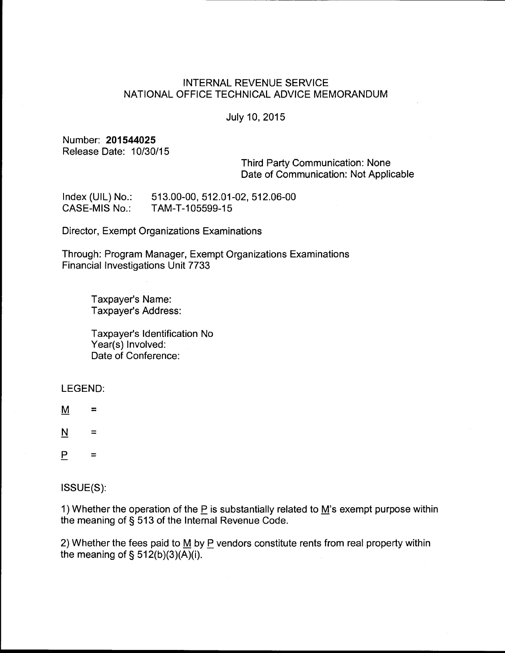# INTERNAL REVENUE SERVICE NATIONAL OFFICE TECHNICAL ADVICE MEMORANDUM

## July 10, 2015

## Number: **201544025**  Release Date: 10/30/15

Third Party Communication: None Date of Communication: Not Applicable

Index (UIL) No.: CASE-MIS No.: 513.00-00, 512.01-02, 512.06-00 TAM-T-105599-15

Director, Exempt Organizations Examinations

Through: Program Manager, Exempt Organizations Examinations Financial Investigations Unit 7733

> Taxpayer's Name: Taxpayer's Address:

Taxpayer's Identification No Year(s) Involved: Date of Conference:

LEGEND:

 $M =$ 

 $N =$ 

 $P =$ 

ISSUE(S):

1) Whether the operation of the  $P$  is substantially related to  $M$ 's exempt purpose within the meaning of§ 513 of the Internal Revenue Code.

2) Whether the fees paid to  $\underline{M}$  by  $\underline{P}$  vendors constitute rents from real property within the meaning of  $\S$  512(b)(3)(A)(i).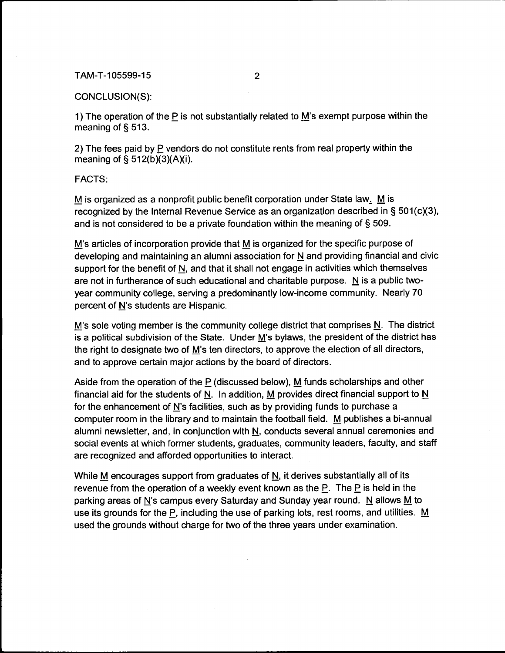## CONCLUSION(S):

1) The operation of the P is not substantially related to M's exempt purpose within the meaning of§ 513.

2) The fees paid by P vendors do not constitute rents from real property within the meaning of  $\S$  512(b)(3)(A)(i).

FACTS:

M is organized as a nonprofit public benefit corporation under State law.  $\underline{M}$  is recognized by the Internal Revenue Service as an organization described in  $\S 501(c)(3)$ , and is not considered to be a private foundation within the meaning of § 509.

M's articles of incorporation provide that M is organized for the specific purpose of developing and maintaining an alumni association for N and providing financial and civic support for the benefit of  $N$ , and that it shall not engage in activities which themselves are not in furtherance of such educational and charitable purpose.  $N$  is a public twoyear community college, serving a predominantly low-income community. Nearly 70 percent of N's students are Hispanic.

M's sole voting member is the community college district that comprises  $N$ . The district is a political subdivision of the State. Under M's bylaws, the president of the district has the right to designate two of  $\underline{M}$ 's ten directors, to approve the election of all directors, and to approve certain major actions by the board of directors.

Aside from the operation of the  $P$  (discussed below), M funds scholarships and other financial aid for the students of N. In addition, M provides direct financial support to  $N$ for the enhancement of N's facilities, such as by providing funds to purchase a computer room in the library and to maintain the football field. M publishes a bi-annual alumni newsletter, and, in conjunction with N, conducts several annual ceremonies and social events at which former students, graduates, community leaders, faculty, and staff are recognized and afforded opportunities to interact.

While  $M$  encourages support from graduates of  $N$ , it derives substantially all of its revenue from the operation of a weekly event known as the  $P$ . The  $P$  is held in the parking areas of N's campus every Saturday and Sunday year round. N allows  $\underline{M}$  to use its grounds for the P, including the use of parking lots, rest rooms, and utilities.  $M$ used the grounds without charge for two of the three years under examination.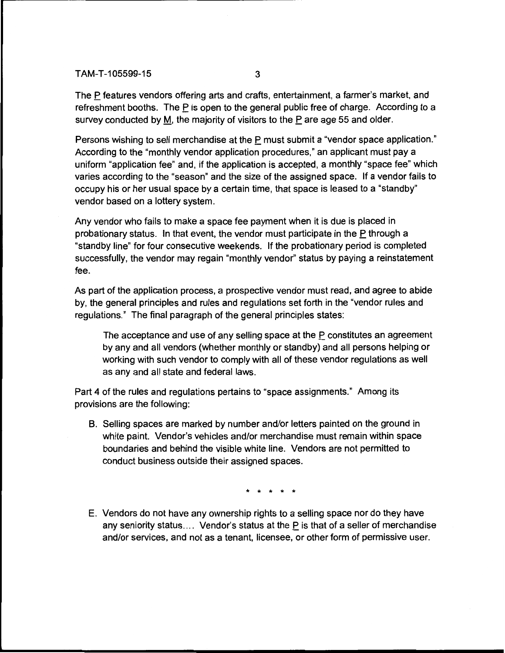The P features vendors offering arts and crafts, entertainment, a farmer's market, and refreshment booths. The  $\underline{P}$  is open to the general public free of charge. According to a survey conducted by M, the majority of visitors to the P are age 55 and older.

Persons wishing to sell merchandise at the P must submit a "vendor space application." According to the "monthly vendor application procedures," an applicant must pay a uniform "application fee" and, if the application is accepted, a monthly "space fee" which varies according to the "season" and the size of the assigned space. If a vendor fails to occupy his or her usual space by a certain time, that space is leased to a "standby" vendor based on a lottery system.

Any vendor who fails to make a space fee payment when it is due is placed in probationary status. In that event, the vendor must participate in the P through a "standby line" for four consecutive weekends. If the probationary period is completed successfully, the vendor may regain "monthly vendor" status by paying a reinstatement fee.

As part of the application process, a prospective vendor must read, and agree to abide by, the general principles and rules and regulations set forth in the "vendor rules and regulations." The final paragraph of the general principles states:

The acceptance and use of any selling space at the  $P$  constitutes an agreement by any and all vendors (whether monthly or standby) and all persons helping or working with such vendor to comply with all of these vendor regulations as well as any and all state and federal laws.

Part 4 of the rules and regulations pertains to "space assignments." Among its provisions are the following:

B. Selling spaces are marked by number and/or letters painted on the ground in white paint. Vendor's vehicles and/or merchandise must remain within space boundaries and behind the visible white line. Vendors are not permitted to conduct business outside their assigned spaces.

\* \* \* \* \*

E. Vendors do not have any ownership rights to a selling space nor do they have any seniority status.... Vendor's status at the  $\underline{P}$  is that of a seller of merchandise and/or services, and not as a tenant, licensee, or other form of permissive user.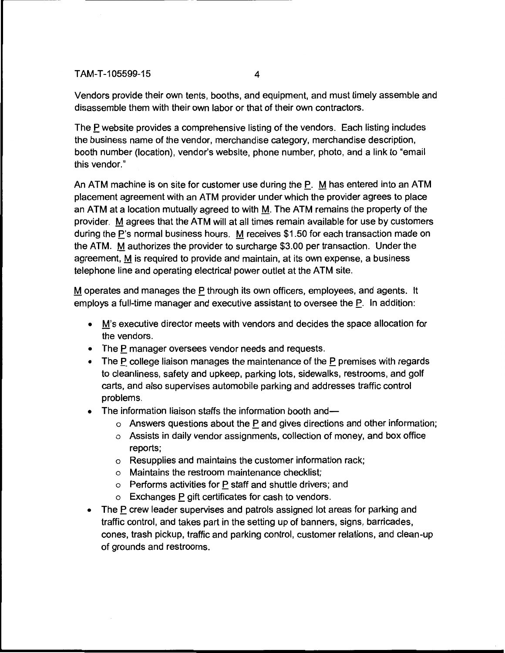Vendors provide their own tents, booths, and equipment, and must timely assemble and disassemble them with their own labor or that of their own contractors.

The P website provides a comprehensive listing of the vendors. Each listing includes the business name of the vendor, merchandise category, merchandise description, booth number (location), vendor's website, phone number, photo, and a link to "email this vendor."

An ATM machine is on site for customer use during the P. M has entered into an ATM placement agreement with an ATM provider under which the provider agrees to place an ATM at a location mutually agreed to with M. The ATM remains the property of the provider. M agrees that the ATM will at all times remain available for use by customers during the P's normal business hours. M receives \$1.50 for each transaction made on the ATM. M authorizes the provider to surcharge \$3.00 per transaction. Under the agreement, M is required to provide and maintain, at its own expense, a business telephone line and operating electrical power outlet at the ATM site.

M operates and manages the P through its own officers, employees, and agents. It employs a full-time manager and executive assistant to oversee the  $\underline{P}$ . In addition:

- M's executive director meets with vendors and decides the space allocation for the vendors.
- The P manager oversees vendor needs and requests.
- The P college liaison manages the maintenance of the P premises with regards to cleanliness, safety and upkeep, parking lots, sidewalks, restrooms, and golf carts, and also supervises automobile parking and addresses traffic control problems.
- The information liaison staffs the information booth and-
	- $\circ$  Answers questions about the P and gives directions and other information;
	- o Assists in daily vendor assignments, collection of money, and box office reports;
	- o Resupplies and maintains the customer information rack;
	- o Maintains the restroom maintenance checklist;
	- $\circ$  Performs activities for P staff and shuttle drivers; and
	- o Exchanges P gift certificates for cash to vendors.
- The P crew leader supervises and patrols assigned lot areas for parking and traffic control, and takes part in the setting up of banners, signs, barricades, cones, trash pickup, traffic and parking control, customer relations, and clean-up of grounds and restrooms.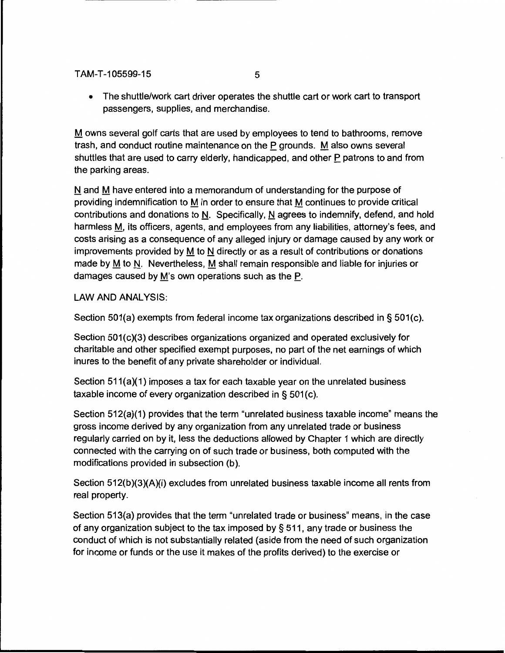• The shuttle/work cart driver operates the shuttle cart or work cart to transport passengers, supplies, and merchandise.

M owns several golf carts that are used by employees to tend to bathrooms, remove trash, and conduct routine maintenance on the P grounds. M also owns several shuttles that are used to carry elderly, handicapped, and other P patrons to and from the parking areas.

N and M have entered into a memorandum of understanding for the purpose of providing indemnification to M in order to ensure that M continues to provide critical contributions and donations to N. Specifically, N agrees to indemnify, defend, and hold harmless M, its officers, agents, and employees from any liabilities, attorney's fees, and costs arising as a consequence of any alleged injury or damage caused by any work or improvements provided by M to N directly or as a result of contributions or donations made by M to N. Nevertheless, M shall remain responsible and liable for injuries or damages caused by M's own operations such as the P.

LAW AND ANALYSIS:

Section 501(a) exempts from federal income tax organizations described in§ 501(c).

Section 501(c)(3) describes organizations organized and operated exclusively for charitable and other specified exempt purposes, no part of the net earnings of which inures to the benefit of any private shareholder or individual.

Section 511(a)(1) imposes a tax for each taxable year on the unrelated business taxable income of every organization described in§ 501(c).

Section 512(a)(1) provides that the term "unrelated business taxable income" means the gross income derived by any organization from any unrelated trade or business regularly carried on by it, less the deductions allowed by Chapter 1 which are directly connected with the carrying on of such trade or business, both computed with the modifications provided in subsection (b).

Section 512(b)(3)(A)(i) excludes from unrelated business taxable income all rents from real property.

Section 513(a) provides that the term "unrelated trade or business" means, in the case of any organization subject to the tax imposed by§ 511, any trade or business the conduct of which is not substantially related (aside from the need of such organization for income or funds or the use it makes of the profits derived) to the exercise or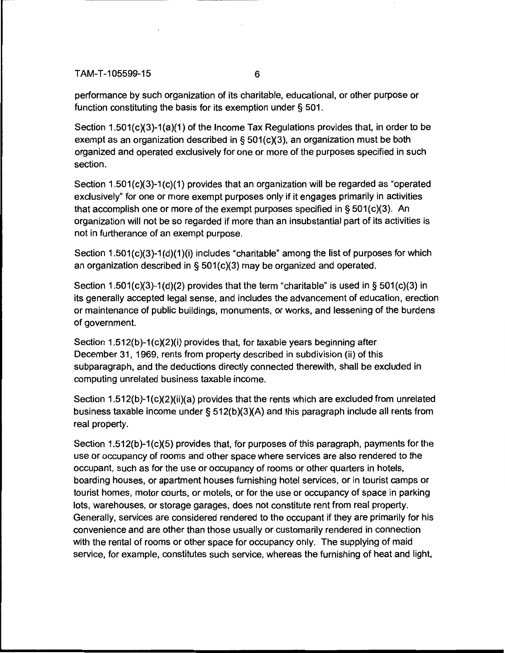performance by such organization of its charitable, educational, or other purpose or function constituting the basis for its exemption under§ 501.

Section 1.501(c)(3)-1(a)(1) of the Income Tax Regulations provides that, in order to be exempt as an organization described in§ 501(c)(3), an organization must be both organized and operated exclusively for one or more of the purposes specified in such section.

Section  $1.501(c)(3)-1(c)(1)$  provides that an organization will be regarded as "operated exclusively" for one or more exempt purposes only if it engages primarily in activities that accomplish one or more of the exempt purposes specified in  $\S 501(c)(3)$ . An organization will not be so regarded if more than an insubstantial part of its activities is not in furtherance of an exempt purpose.

Section  $1.501(c)(3)-1(d)(1)(i)$  includes "charitable" among the list of purposes for which an organization described in§ 501(c)(3) may be organized and operated.

Section 1.501(c)(3)-1(d)(2) provides that the term "charitable" is used in § 501(c)(3) in its generally accepted legal sense, and includes the advancement of education, erection or maintenance of public buildings, monuments, or works, and lessening of the burdens of government.

Section 1.512(b)-1(c)(2)(i) provides that, for taxable years beginning after December 31, 1969, rents from property described in subdivision (ii) of this subparagraph, and the deductions directly connected therewith, shall be excluded in computing unrelated business taxable income.

Section 1.512(b)-1(c)(2)(ii)(a) provides that the rents which are excluded from unrelated business taxable income under§ 512(b)(3)(A) and this paragraph include all rents from real property.

Section 1.512(b)-1(c)(5) provides that, for purposes of this paragraph, payments for the use or occupancy of rooms and other space where services are also rendered to the occupant, such as for the use or occupancy of rooms or other quarters in hotels, boarding houses, or apartment houses furnishing hotel services, or in tourist camps or tourist homes, motor courts, or motels, or for the use or occupancy of space in parking lots, warehouses, or storage garages, does not constitute rent from real property. Generally, services are considered rendered to the occupant if they are primarily for his convenience and are other than those usually or customarily rendered in connection with the rental of rooms or other space for occupancy only. The supplying of maid service, for example, constitutes such service, whereas the furnishing of heat and light,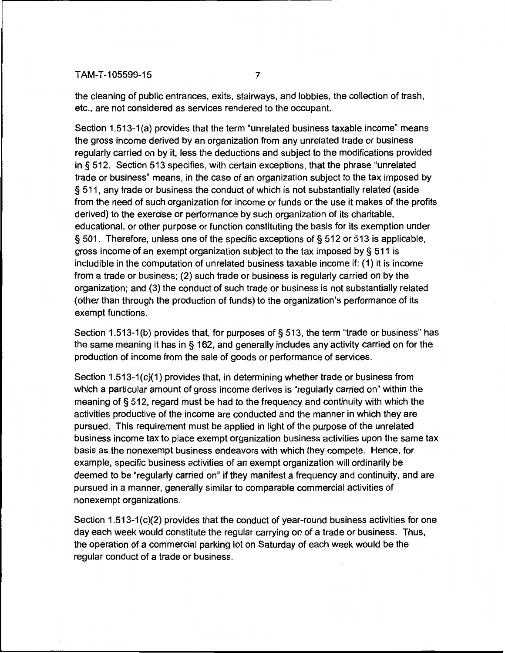the cleaning of public entrances, exits, stairways, and lobbies, the collection of trash, etc., are not considered as services rendered to the occupant.

Section 1.513-1 (a) provides that the term "unrelated business taxable income" means the gross income derived by an organization from any unrelated trade or business regularly carried on by it, less the deductions and subject to the modifications provided in § 512. Section 513 specifies, with certain exceptions, that the phrase "unrelated trade or business" means, in the case of an organization subject to the tax imposed by § 511, any trade or business the conduct of which is not substantially related (aside from the need of such organization for income or funds or the use it makes of the profits derived) to the exercise or performance by such organization of its charitable, educational, or other purpose or function constituting the basis for its exemption under § 501. Therefore, unless one of the specific exceptions of § 512 or 513 is applicable, gross income of an exempt organization subject to the tax imposed by§ 511 is includible in the computation of unrelated business taxable income if: (1) it is income from a trade or business; (2) such trade or business is regularly carried on by the organization; and (3) the conduct of such trade or business is not substantially related (other than through the production of funds) to the organization's performance of its exempt functions.

Section 1.513-1(b) provides that, for purposes of § 513, the term "trade or business" has the same meaning it has in § 162, and generally includes any activity carried on for the production of income from the sale of goods or performance of services.

Section 1.513-1(c)(1) provides that, in determining whether trade or business from which a particular amount of gross income derives is "regularly carried on" within the meaning of§ 512, regard must be had to the frequency and continuity with which the activities productive of the income are conducted and the manner in which they are pursued. This requirement must be applied in light of the purpose of the unrelated business income tax to place exempt organization business activities upon the same tax basis as the nonexempt business endeavors with which they compete. Hence, for example, specific business activities of an exempt organization will ordinarily be deemed to be "regularly carried on" if they manifest a frequency and continuity, and are pursued in a manner, generally similar to comparable commercial activities of nonexempt organizations.

Section  $1.513-1(c)(2)$  provides that the conduct of year-round business activities for one day each week would constitute the regular carrying on of a trade or business. Thus, the operation of a commercial parking lot on Saturday of each week would be the regular conduct of a trade or business.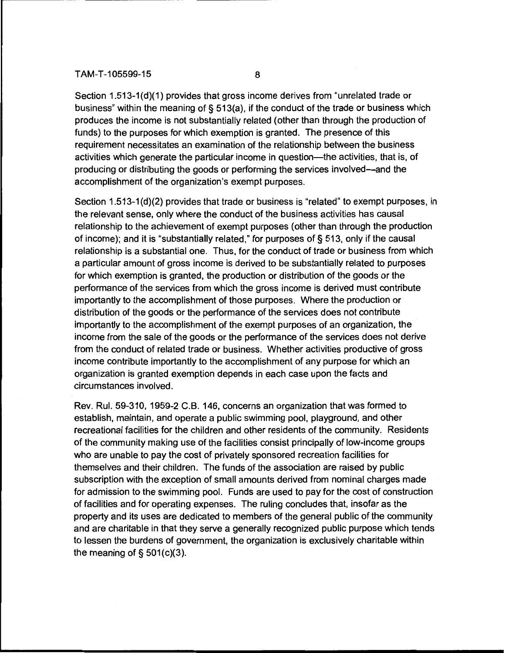Section 1.513-1(d)(1) provides that gross income derives from "unrelated trade or business" within the meaning of§ 513(a), if the conduct of the trade or business which produces the income is not substantially related (other than through the production of funds) to the purposes for which exemption is granted. The presence of this requirement necessitates an examination of the relationship between the business activities which generate the particular income in question—the activities, that is, of producing or distributing the goods or performing the services involved-and the accomplishment of the organization's exempt purposes.

Section 1.513-1 (d)(2) provides that trade or business is "related" to exempt purposes, in the relevant sense, only where the conduct of the business activities has causal relationship to the achievement of exempt purposes (other than through the production of income); and it is "substantially related," for purposes of§ 513, only if the causal relationship is a substantial one. Thus, for the conduct of trade or business from which a particular amount of gross income is derived to be substantially related to purposes for which exemption is granted, the production or distribution of the goods or the performance of the services from which the gross income is derived must contribute importantly to the accomplishment of those purposes. Where the production or distribution of the goods or the performance of the services does not contribute importantly to the accomplishment of the exempt purposes of an organization, the income from the sale of the goods or the performance of the services does not derive from the conduct of related trade or business. Whether activities productive of gross income contribute importantly to the accomplishment of any purpose for which an organization is granted exemption depends in each case upon the facts and circumstances involved.

Rev. Rul. 59-310, 1959-2 C.B. 146, concerns an organization that was formed to establish, maintain, and operate a public swimming pool, playground, and other recreational facilities for the children and other residents of the community. Residents of the community making use of the facilities consist principally of low-income groups who are unable to pay the cost of privately sponsored recreation facilities for themselves and their children. The funds of the association are raised by public subscription with the exception of small amounts derived from nominal charges made for admission to the swimming pool. Funds are used to pay for the cost of construction of facilities and for operating expenses. The ruling concludes that, insofar as the property and its uses are dedicated to members of the general public of the community and are charitable in that they serve a generally recognized public purpose which tends to lessen the burdens of government, the organization is exclusively charitable within the meaning of  $\S$  501(c)(3).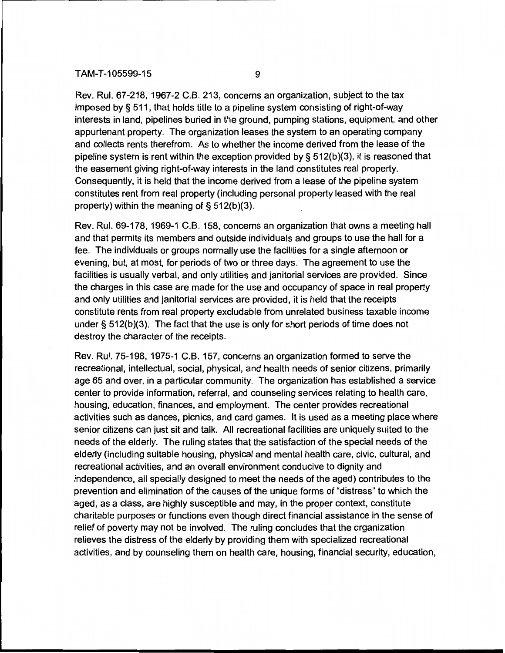Rev. Rul. 67-218, 1967-2 C.B. 213, concerns an organization, subject to the tax imposed by§ 511, that holds title to a pipeline system consisting of right-of-way interests in land, pipelines buried in the ground, pumping stations, equipment, and other appurtenant property. The organization leases the system to an operating company and collects rents therefrom. As to whether the income derived from the lease of the pipeline system is rent within the exception provided by §  $512(b)(3)$ , it is reasoned that the easement giving right-of-way interests in the land constitutes real property. Consequently, it is held that the income derived from a lease of the pipeline system constitutes rent from real property (including personal property leased with the real property) within the meaning of§ 512(b)(3).

Rev. Rul. 69-178, 1969-1 C.B. 158, concerns an organization that owns a meeting hall and that permits its members and outside individuals and groups to use the hall for a fee. The individuals or groups normally use the facilities for a single afternoon or evening, but, at most, for periods of two or three days. The agreement to use the facilities is usually verbal, and only utilities and janitorial services are provided. Since the charges in this case are made for the use and occupancy of space in real property and only utilities and janitorial services are provided, it is held that the receipts constitute rents from real property excludable from unrelated business taxable income under§ 512(b)(3). The fact that the use is only for short periods of time does not destroy the character of the receipts.

Rev. Rul. 75-198, 1975-1 C.B. 157, concerns an organization formed to serve the recreational, intellectual, social, physical, and health needs of senior citizens, primarily age 65 and over, in a particular community. The organization has established a service center to provide information, referral, and counseling services relating to health care, housing, education, finances, and employment. The center provides recreational activities such as dances, picnics, and card games. It is used as a meeting place where senior citizens can just sit and talk. All recreational facilities are uniquely suited to the needs of the elderly. The ruling states that the satisfaction of the special needs of the elderly (including suitable housing, physical and mental health care, civic, cultural, and recreational activities, and an overall environment conducive to dignity and independence, all specially designed to meet the needs of the aged) contributes to the prevention and elimination of the causes of the unique forms of "distress" to which the aged, as a class, are highly susceptible and may, in the proper context, constitute charitable purposes or functions even though direct financial assistance in the sense of relief of poverty may not be involved. The ruling concludes that the organization relieves the distress of the elderly by providing them with specialized recreational activities, and by counseling them on health care, housing, financial security, education,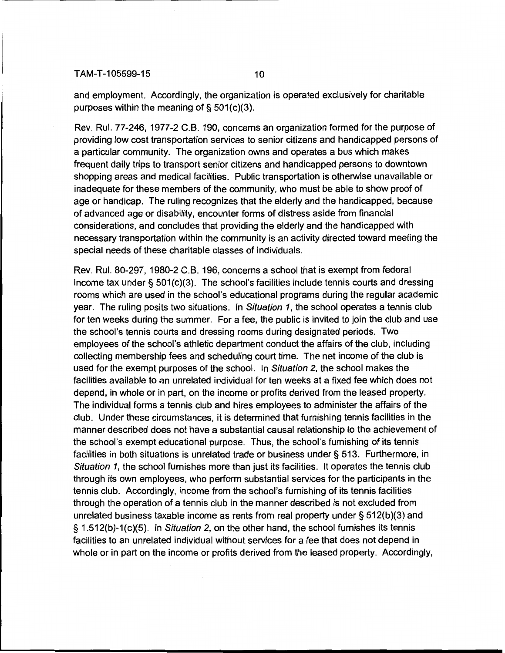and employment. Accordingly, the organization is operated exclusively for charitable purposes within the meaning of§ 501(c)(3).

Rev. Rul. 77-246, 1977-2 C.B. 190, concerns an organization formed for the purpose of providing low cost transportation services to senior citizens and handicapped persons of a particular community. The organization owns and operates a bus which makes frequent daily trips to transport senior citizens and handicapped persons to downtown shopping areas and medical facilities. Public transportation is otherwise unavailable or inadequate for these members of the community, who must be able to show proof of age or handicap. The ruling recognizes that the elderly and the handicapped, because of advanced age or disability, encounter forms of distress aside from financial considerations, and concludes that providing the elderly and the handicapped with necessary transportation within the community is an activity directed toward meeting the special needs of these charitable classes of individuals.

Rev. Rul. 80-297, 1980-2 C.B. 196, concerns a school that is exempt from federal income tax under § 501(c)(3). The school's facilities include tennis courts and dressing rooms which are used in the school's educational programs during the regular academic year. The ruling posits two situations. In Situation 1, the school operates a tennis club for ten weeks during the summer. For a fee, the public is invited to join the club and use the school's tennis courts and dressing rooms during designated periods. Two employees of the school's athletic department conduct the affairs of the club, including collecting membership fees and scheduling court time. The net income of the club is used for the exempt purposes of the school. In Situation 2, the school makes the facilities available to an unrelated individual for ten weeks at a fixed fee which does not depend, in whole or in part, on the income or profits derived from the leased property. The individual forms a tennis club and hires employees to administer the affairs of the club. Under these circumstances, it is determined that furnishing tennis facilities in the manner described does not have a substantial causal relationship to the achievement of the school's exempt educational purpose. Thus, the school's furnishing of its tennis facilities in both situations is unrelated trade or business under§ 513. Furthermore, in Situation 1, the school furnishes more than just its facilities. It operates the tennis club through its own employees, who perform substantial services for the participants in the tennis club. Accordingly, income from the school's furnishing of its tennis facilities through the operation of a tennis club in the manner described is not excluded from unrelated business taxable income as rents from real property under§ 512(b)(3) and § 1.512(b)-1(c)(5). In Situation 2, on the other hand, the school furnishes its tennis facilities to an unrelated individual without services for a fee that does not depend in whole or in part on the income or profits derived from the leased property. Accordingly,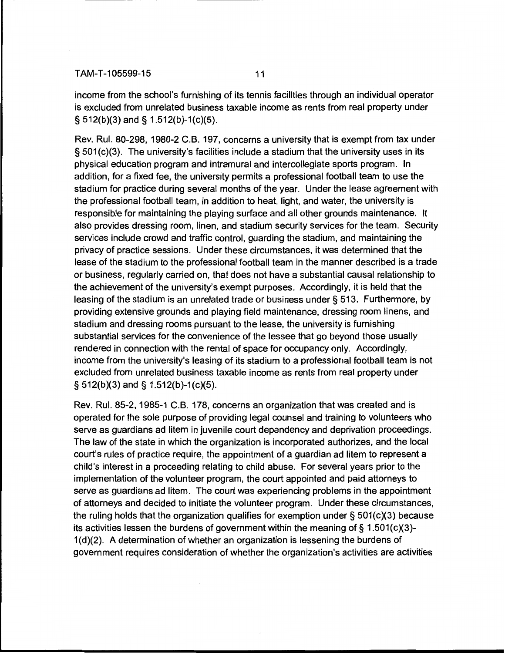income from the school's furnishing of its tennis facilities through an individual operator is excluded from unrelated business taxable income as rents from real property under § 512(b)(3) and§ 1.512(b)-1(c)(5).

Rev. Rul. 80-298, 1980-2 C.B. 197, concerns a university that is exempt from tax under § 501 (c)(3). The university's facilities include a stadium that the university uses in its physical education program and intramural and intercollegiate sports program. In addition, for a fixed fee, the university permits a professional football team to use the stadium for practice during several months of the year. Under the lease agreement with the professional football team, in addition to heat, light, and water, the university is responsible for maintaining the playing surface and all other grounds maintenance. It also provides dressing room, linen, and stadium security services for the team. Security services include crowd and traffic control, guarding the stadium, and maintaining the privacy of practice sessions. Under these circumstances, it was determined that the lease of the stadium to the professional football team in the manner described is a trade or business, regularly carried on, that does not have a substantial causal relationship to the achievement of the university's exempt purposes. Accordingly, it is held that the leasing of the stadium is an unrelated trade or business under§ 513. Furthermore, by providing extensive grounds and playing field maintenance, dressing room linens, and stadium and dressing rooms pursuant to the lease, the university is furnishing substantial services for the convenience of the lessee that go beyond those usually rendered in connection with the rental of space for occupancy only. Accordingly, income from the university's leasing of its stadium to a professional football team is not excluded from unrelated business taxable income as rents from real property under § 512(b)(3) and§ 1.512(b)-1(c)(5).

Rev. Rul. 85-2, 1985-1 C.B. 178, concerns an organization that was created and is operated for the sole purpose of providing legal counsel and training to volunteers who serve as guardians ad litem in juvenile court dependency and deprivation proceedings. The law of the state in which the organization is incorporated authorizes, and the local court's rules of practice require, the appointment of a guardian ad litem to represent a child's interest in a proceeding relating to child abuse. For several years prior to the implementation of the volunteer program, the court appointed and paid attorneys to serve as guardians ad litem. The court was experiencing problems in the appointment of attorneys and decided to initiate the volunteer program. Under these circumstances, the ruling holds that the organization qualifies for exemption under§ 501(c)(3) because its activities lessen the burdens of government within the meaning of  $\S$  1.501(c)(3)- $1(d)(2)$ . A determination of whether an organization is lessening the burdens of government requires consideration of whether the organization's activities are activities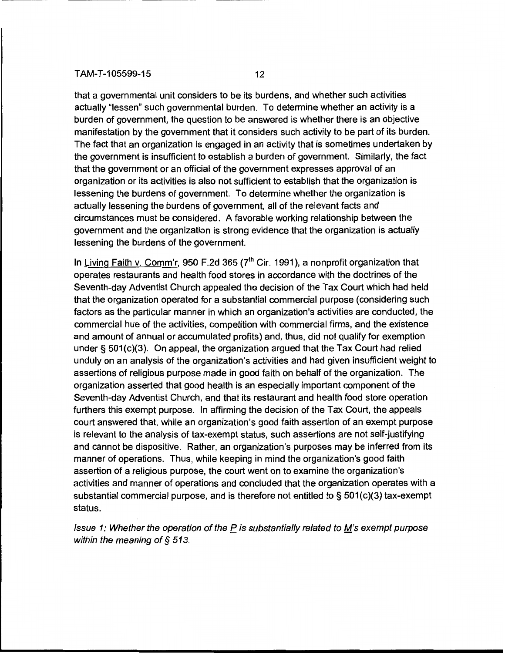that a governmental unit considers to be its burdens, and whether such activities actually "lessen" such governmental burden. To determine whether an activity is a burden of government, the question to be answered is whether there is an objective manifestation by the government that it considers such activity to be part of its burden. The fact that an organization is engaged in an activity that is sometimes undertaken by the government is insufficient to establish a burden of government. Similarly, the fact that the government or an official of the government expresses approval of an organization or its activities is also not sufficient to establish that the organization is lessening the burdens of government. To determine whether the organization is actually lessening the burdens of government, all of the relevant facts and circumstances must be considered. A favorable working relationship between the government and the organization is strong evidence that the organization is actually lessening the burdens of the government.

In Living Faith v. Comm'r, 950 F.2d 365 ( $7<sup>th</sup>$  Cir. 1991), a nonprofit organization that operates restaurants and health food stores in accordance with the doctrines of the Seventh-day Adventist Church appealed the decision of the Tax Court which had held that the organization operated for a substantial commercial purpose (considering such factors as the particular manner in which an organization's activities are conducted, the commercial hue of the activities, competition with commercial firms, and the existence and amount of annual or accumulated profits) and, thus, did not qualify for exemption under§ 501(c)(3). On appeal, the organization argued that the Tax Court had relied unduly on an analysis of the organization's activities and had given insufficient weight to assertions of religious purpose made in good faith on behalf of the organization. The organization asserted that good health is an especially important component of the Seventh-day Adventist Church, and that its restaurant and health food store operation furthers this exempt purpose. In affirming the decision of the Tax Court, the appeals court answered that, while an organization's good faith assertion of an exempt purpose is relevant to the analysis of tax-exempt status, such assertions are not self-justifying and cannot be dispositive. Rather, an organization's purposes may be inferred from its manner of operations. Thus, while keeping in mind the organization's good faith assertion of a religious purpose, the court went on to examine the organization's activities and manner of operations and concluded that the organization operates with a substantial commercial purpose, and is therefore not entitled to§ 501(c)(3) tax-exempt status.

Issue 1: Whether the operation of the  $P$  is substantially related to  $M$ 's exempt purpose within the meaning of § 513.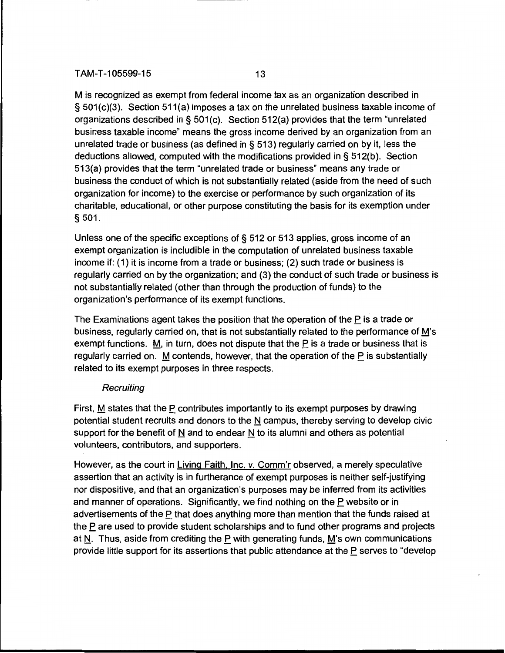M is recognized as exempt from federal income tax as an organization described in § 501(c)(3). Section 511(a) imposes a tax on the unrelated business taxable income of organizations described in § 501 (c). Section 512(a) provides that the term "unrelated business taxable income" means the gross income derived by an organization from an unrelated trade or business (as defined in § 513) regularly carried on by it, less the deductions allowed, computed with the modifications provided in§ 512(b). Section 513(a) provides that the term "unrelated trade or business" means any trade or business the conduct of which is not substantially related (aside from the need of such organization for income) to the exercise or performance by such organization of its charitable, educational, or other purpose constituting the basis for its exemption under § 501.

Unless one of the specific exceptions of§ 512 or 513 applies, gross income of an exempt organization is includible in the computation of unrelated business taxable income if: (1) it is income from a trade or business; (2) such trade or business is regularly carried on by the organization; and (3) the conduct of such trade or business is not substantially related (other than through the production of funds) to the organization's performance of its exempt functions.

The Examinations agent takes the position that the operation of the P is a trade or business, regularly carried on, that is not substantially related to the performance of M's exempt functions.  $M$ , in turn, does not dispute that the P is a trade or business that is regularly carried on. M contends, however, that the operation of the P is substantially related to its exempt purposes in three respects.

# **Recruiting**

First, M states that the P contributes importantly to its exempt purposes by drawing potential student recruits and donors to the N campus, thereby serving to develop civic support for the benefit of N and to endear N to its alumni and others as potential volunteers, contributors, and supporters.

However, as the court in Living Faith. Inc. v. Comm'r observed, a merely speculative assertion that an activity is in furtherance of exempt purposes is neither self-justifying nor dispositive, and that an organization's purposes may be inferred from its activities and manner of operations. Significantly, we find nothing on the P website or in advertisements of the P that does anything more than mention that the funds raised at the P are used to provide student scholarships and to fund other programs and projects at N. Thus, aside from crediting the P with generating funds, M's own communications provide little support for its assertions that public attendance at the P serves to "develop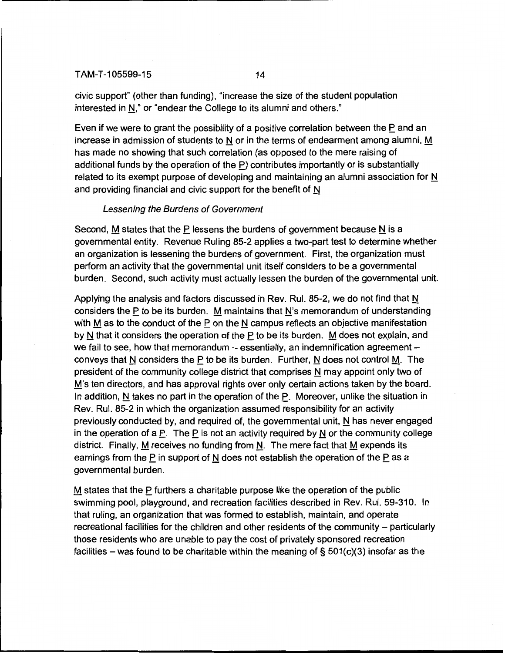civic support" (other than funding), "increase the size of the student population interested in N," or "endear the College to its alumni and others."

Even if we were to grant the possibility of a positive correlation between the  $\underline{P}$  and an increase in admission of students to N or in the terms of endearment among alumni,  $\underline{M}$ has made no showing that such correlation (as opposed to the mere raising of additional funds by the operation of the P) contributes importantly or is substantially related to its exempt purpose of developing and maintaining an alumni association for  $\underline{N}$ and providing financial and civic support for the benefit of N

### Lessening the Burdens of Government

Second, M states that the P lessens the burdens of government because  $N$  is a governmental entity. Revenue Ruling 85-2 applies a two-part test to determine whether an organization is lessening the burdens of government. First, the organization must perform an activity that the governmental unit itself considers to be a governmental burden. Second, such activity must actually lessen the burden of the governmental unit.

Applying the analysis and factors discussed in Rev. Rul. 85-2, we do not find that  $N$ considers the P to be its burden. M maintains that N's memorandum of understanding with  $M$  as to the conduct of the  $P$  on the  $N$  campus reflects an objective manifestation by N that it considers the operation of the  $P$  to be its burden. M does not explain, and we fail to see, how that memorandum  $-$  essentially, an indemnification agreement  $$ conveys that N considers the P to be its burden. Further, N does not control  $\underline{M}$ . The president of the community college district that comprises  $N$  may appoint only two of M's ten directors, and has approval rights over only certain actions taken by the board. In addition, N takes no part in the operation of the  $P$ . Moreover, unlike the situation in Rev. Rul. 85-2 in which the organization assumed responsibility for an activity previously conducted by, and required of, the governmental unit,  $N$  has never engaged in the operation of a P. The P is not an activity required by  $N$  or the community college district. Finally, M receives no funding from  $N$ . The mere fact that M expends its earnings from the P in support of N does not establish the operation of the P as a governmental burden.

 $M$  states that the P furthers a charitable purpose like the operation of the public swimming pool, playground, and recreation facilities described in Rev. Rul. 59-310. In that ruling, an organization that was formed to establish, maintain, and operate recreational facilities for the children and other residents of the community - particularly those residents who are unable to pay the cost of privately sponsored recreation facilities – was found to be charitable within the meaning of  $\S$  501(c)(3) insofar as the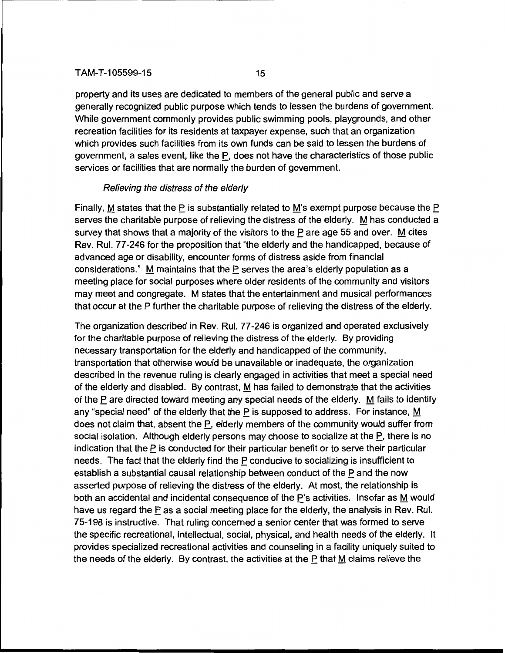property and its uses are dedicated to members of the general public and serve a generally recognized public purpose which tends to lessen the burdens of government. While government commonly provides public swimming pools, playgrounds, and other recreation facilities for its residents at taxpayer expense, such that an organization which provides such facilities from its own funds can be said to lessen the burdens of government, a sales event, like the  $P$ , does not have the characteristics of those public services or facilities that are normally the burden of government.

## Relieving the distress of the elderly

Finally, M states that the P is substantially related to M's exempt purpose because the  $\underline{P}$ serves the charitable purpose of relieving the distress of the elderly.  $M$  has conducted a survey that shows that a majority of the visitors to the  $P$  are age 55 and over. M cites Rev. Rul. 77-246 for the proposition that "the elderly and the handicapped, because of advanced age or disability, encounter forms of distress aside from financial considerations." M maintains that the P serves the area's elderly population as a meeting place for social purposes where older residents of the community and visitors may meet and congregate. M states that the entertainment and musical performances that occur at the P further the charitable purpose of relieving the distress of the elderly.

The organization described in Rev. Rul. 77-246 is organized and operated exclusively for the charitable purpose of relieving the distress of the elderly. By providing necessary transportation for the elderly and handicapped of the community, transportation that otherwise would be unavailable or inadequate, the organization described in the revenue ruling is clearly engaged in activities that meet a special need of the elderly and disabled. By contrast, M has failed to demonstrate that the activities of the P are directed toward meeting any special needs of the elderly.  $M$  fails to identify any "special need" of the elderly that the  $P$  is supposed to address. For instance, M does not claim that, absent the P, elderly members of the community would suffer from social isolation. Although elderly persons may choose to socialize at the  $P$ , there is no indication that the  $P$  is conducted for their particular benefit or to serve their particular needs. The fact that the elderly find the P conducive to socializing is insufficient to establish a substantial causal relationship between conduct of the P and the now asserted purpose of relieving the distress of the elderly. At most, the relationship is both an accidental and incidental consequence of the  $\underline{P}$ 's activities. Insofar as  $\underline{M}$  would have us regard the  $P$  as a social meeting place for the elderly, the analysis in Rev. Rul. 75-198 is instructive. That ruling concerned a senior center that was formed to serve the specific recreational, intellectual, social, physical, and health needs of the elderly. It provides specialized recreational activities and counseling in a facility uniquely suited to the needs of the elderly. By contrast, the activities at the  $P$  that  $M$  claims relieve the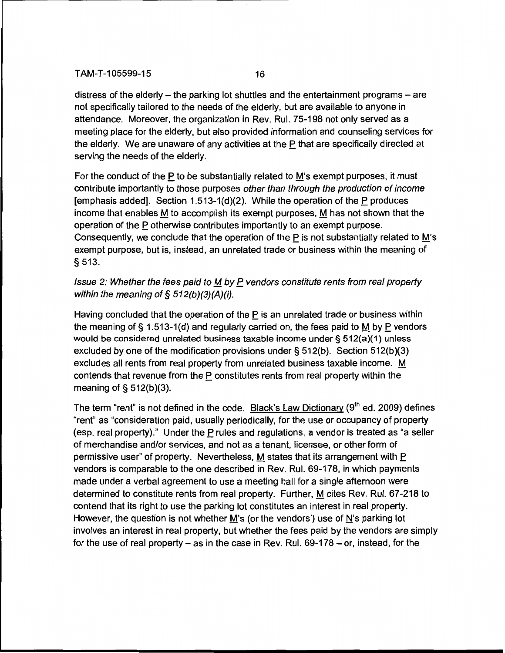distress of the elderly  $-$  the parking lot shuttles and the entertainment programs  $-$  are not specifically tailored to the needs of the elderly, but are available to anyone in attendance. Moreover, the organization in Rev. Rul. 75-198 not only served as a meeting place for the elderly, but also provided information and counseling services for the elderly. We are unaware of any activities at the P that are specifically directed at serving the needs of the elderly.

For the conduct of the P to be substantially related to M's exempt purposes, it must contribute importantly to those purposes other than through the production of income [emphasis added]. Section 1.513-1(d)(2). While the operation of the  $P$  produces income that enables M to accomplish its exempt purposes,  $M$  has not shown that the operation of the  $P$  otherwise contributes importantly to an exempt purpose. Consequently, we conclude that the operation of the  $\underline{P}$  is not substantially related to  $\underline{M}$ 's exempt purpose, but is, instead, an unrelated trade or business within the meaning of § 513.

## Issue 2: Whether the fees paid to  $M$  by  $P$  vendors constitute rents from real property within the meaning of  $\S$  512(b)(3)(A)(i).

Having concluded that the operation of the P is an unrelated trade or business within the meaning of § 1.513-1(d) and regularly carried on, the fees paid to  $M$  by P vendors would be considered unrelated business taxable income under§ 512(a)(1) unless excluded by one of the modification provisions under  $\S 512(b)$ . Section  $512(b)(3)$ excludes all rents from real property from unrelated business taxable income.  $M$ contends that revenue from the P constitutes rents from real property within the meaning of  $\S$  512(b)(3).

The term "rent" is not defined in the code. Black's Law Dictionary (9<sup>th</sup> ed. 2009) defines "rent" as "consideration paid, usually periodically, for the use or occupancy of property (esp. real property)." Under the P rules and regulations, a vendor is treated as "a seller of merchandise and/or services, and not as a tenant, licensee, or other form of permissive user" of property. Nevertheless, M states that its arrangement with  $\underline{\mathsf{P}}$ vendors is comparable to the one described in Rev. Rul. 69-178, in which payments made under a verbal agreement to use a meeting hall for a single afternoon were determined to constitute rents from real property. Further, M cites Rev. Rul. 67-218 to contend that its right to use the parking lot constitutes an interest in real property. However, the question is not whether M's (or the vendors') use of  $N$ 's parking lot involves an interest in real property, but whether the fees paid by the vendors are simply for the use of real property  $-$  as in the case in Rev. Rul. 69-178  $-$  or, instead, for the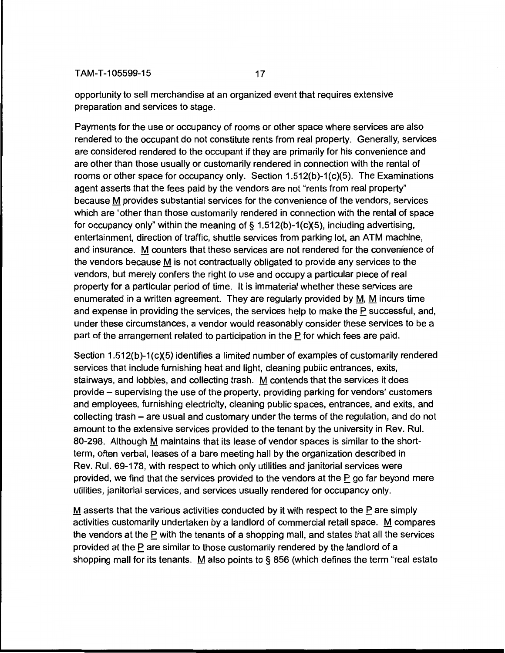opportunity to sell merchandise at an organized event that requires extensive preparation and services to stage.

Payments for the use or occupancy of rooms or other space where services are also rendered to the occupant do not constitute rents from real property. Generally, services are considered rendered to the occupant if they are primarily for his convenience and are other than those usually or customarily rendered in connection with the rental of rooms or other space for occupancy only. Section 1.512(b)-1(c)(5). The Examinations agent asserts that the fees paid by the vendors are not "rents from real property" because M provides substantial services for the convenience of the vendors, services which are "other than those customarily rendered in connection with the rental of space for occupancy only" within the meaning of § 1.512(b)-1(c)(5), including advertising, entertainment, direction of traffic, shuttle services from parking lot, an ATM machine, and insurance. M counters that these services are not rendered for the convenience of the vendors because M is not contractually obligated to provide any services to the vendors, but merely confers the right to use and occupy a particular piece of real property for a particular period of time. It is immaterial whether these services are enumerated in a written agreement. They are regularly provided by M, M incurs time and expense in providing the services, the services help to make the P successful, and, under these circumstances, a vendor would reasonably consider these services to be a part of the arrangement related to participation in the  $P$  for which fees are paid.

Section 1.512(b)-1(c)(5) identifies a limited number of examples of customarily rendered services that include furnishing heat and light, cleaning public entrances, exits, stairways, and lobbies, and collecting trash. M contends that the services it does provide- supervising the use of the property, providing parking for vendors' customers and employees, furnishing electricity, cleaning public spaces, entrances, and exits, and collecting trash - are usual and customary under the terms of the regulation, and do not amount to the extensive services provided to the tenant by the university in Rev. Rul. 80-298. Although M maintains that its lease of vendor spaces is similar to the shortterm, often verbal, leases of a bare meeting hall by the organization described in Rev. Rul. 69-178, with respect to which only utilities and janitorial services were provided, we find that the services provided to the vendors at the P go far beyond mere utilities, janitorial services, and services usually rendered for occupancy only.

M asserts that the various activities conducted by it with respect to the P are simply activities customarily undertaken by a landlord of commercial retail space. M compares the vendors at the  $P$  with the tenants of a shopping mall, and states that all the services provided at the P are similar to those customarily rendered by the landlord of a shopping mall for its tenants. M also points to § 856 (which defines the term "real estate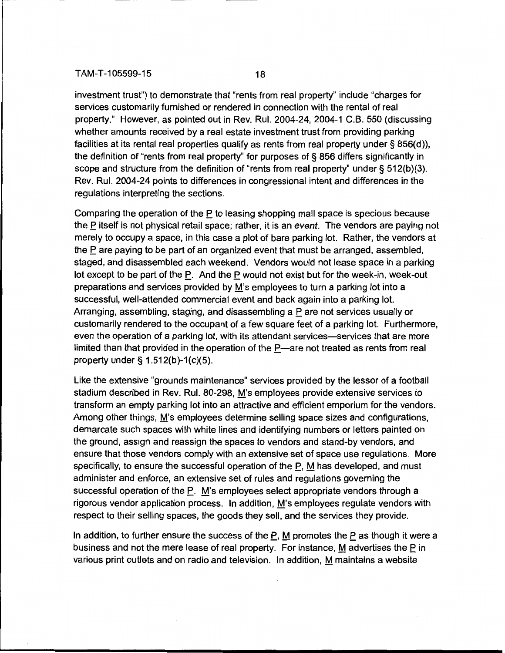investment trust") to demonstrate that "rents from real property" include "charges for services customarily furnished or rendered in connection with the rental of real property." However, as pointed out in Rev. Rul. 2004-24, 2004-1 G.B. 550 (discussing whether amounts received by a real estate investment trust from providing parking facilities at its rental real properties qualify as rents from real property under § 856(d)), the definition of "rents from real property" for purposes of§ 856 differs significantly in scope and structure from the definition of "rents from real property" under  $\S 512(b)(3)$ . Rev. Rul. 2004-24 points to differences in congressional intent and differences in the regulations interpreting the sections.

Comparing the operation of the P to leasing shopping mall space is specious because the P itself is not physical retail space; rather, it is an *event*. The vendors are paying not merely to occupy a space, in this case a plot of bare parking lot. Rather, the vendors at the  $P$  are paying to be part of an organized event that must be arranged, assembled, staged, and disassembled each weekend. Vendors would not lease space in a parking lot except to be part of the  $P$ . And the  $P$  would not exist but for the week-in, week-out preparations and services provided by M's employees to turn a parking lot into a successful, well-attended commercial event and back again into a parking lot. Arranging, assembling, staging, and disassembling a P are not services usually or customarily rendered to the occupant of a few square feet of a parking lot. Furthermore, even the operation of a parking lot, with its attendant services—services that are more limited than that provided in the operation of the  $P$ —are not treated as rents from real property under§ 1.512(b)-1(c)(5).

Like the extensive "grounds maintenance" services provided by the lessor of a football stadium described in Rev. Rul. 80-298, M's employees provide extensive services to transform an empty parking lot into an attractive and efficient emporium for the vendors. Among other things, M's employees determine selling space sizes and configurations, demarcate such spaces with white lines and identifying numbers or letters painted on the ground, assign and reassign the spaces to vendors and stand-by vendors, and ensure that those vendors comply with an extensive set of space use regulations. More specifically, to ensure the successful operation of the  $P$ ,  $M$  has developed, and must administer and enforce, an extensive set of rules and regulations governing the successful operation of the P. M's employees select appropriate vendors through a rigorous vendor application process. In addition, M's employees regulate vendors with respect to their selling spaces, the goods they sell, and the services they provide.

In addition, to further ensure the success of the  $P$ , M promotes the  $P$  as though it were a business and not the mere lease of real property. For instance, M advertises the  $\overline{P}$  in various print outlets and on radio and television. In addition, M maintains a website